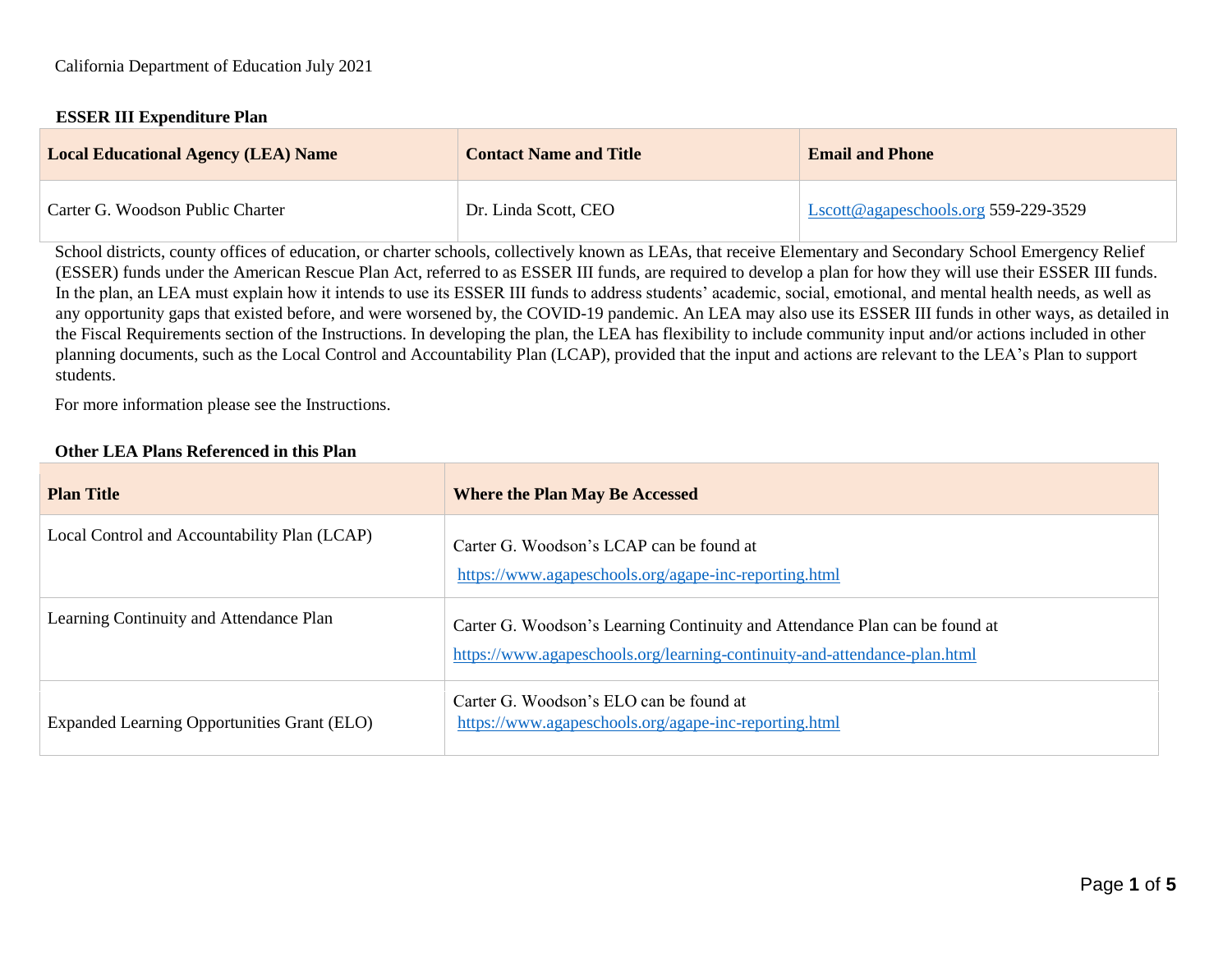#### **ESSER III Expenditure Plan**

| <b>Local Educational Agency (LEA) Name</b> | <b>Contact Name and Title</b> | <b>Email and Phone</b>               |
|--------------------------------------------|-------------------------------|--------------------------------------|
| Carter G. Woodson Public Charter           | Dr. Linda Scott, CEO          | Lscott@agapeschools.org 559-229-3529 |

School districts, county offices of education, or charter schools, collectively known as LEAs, that receive Elementary and Secondary School Emergency Relief (ESSER) funds under the American Rescue Plan Act, referred to as ESSER III funds, are required to develop a plan for how they will use their ESSER III funds. In the plan, an LEA must explain how it intends to use its ESSER III funds to address students' academic, social, emotional, and mental health needs, as well as any opportunity gaps that existed before, and were worsened by, the COVID-19 pandemic. An LEA may also use its ESSER III funds in other ways, as detailed in the Fiscal Requirements section of the Instructions. In developing the plan, the LEA has flexibility to include community input and/or actions included in other planning documents, such as the Local Control and Accountability Plan (LCAP), provided that the input and actions are relevant to the LEA's Plan to support students.

For more information please see the Instructions.

## **Other LEA Plans Referenced in this Plan**

| <b>Plan Title</b>                            | <b>Where the Plan May Be Accessed</b>                                                                                                                    |
|----------------------------------------------|----------------------------------------------------------------------------------------------------------------------------------------------------------|
| Local Control and Accountability Plan (LCAP) | Carter G. Woodson's LCAP can be found at<br>https://www.agapeschools.org/agape-inc-reporting.html                                                        |
| Learning Continuity and Attendance Plan      | Carter G. Woodson's Learning Continuity and Attendance Plan can be found at<br>https://www.agapeschools.org/learning-continuity-and-attendance-plan.html |
| Expanded Learning Opportunities Grant (ELO)  | Carter G. Woodson's ELO can be found at<br>https://www.agapeschools.org/agape-inc-reporting.html                                                         |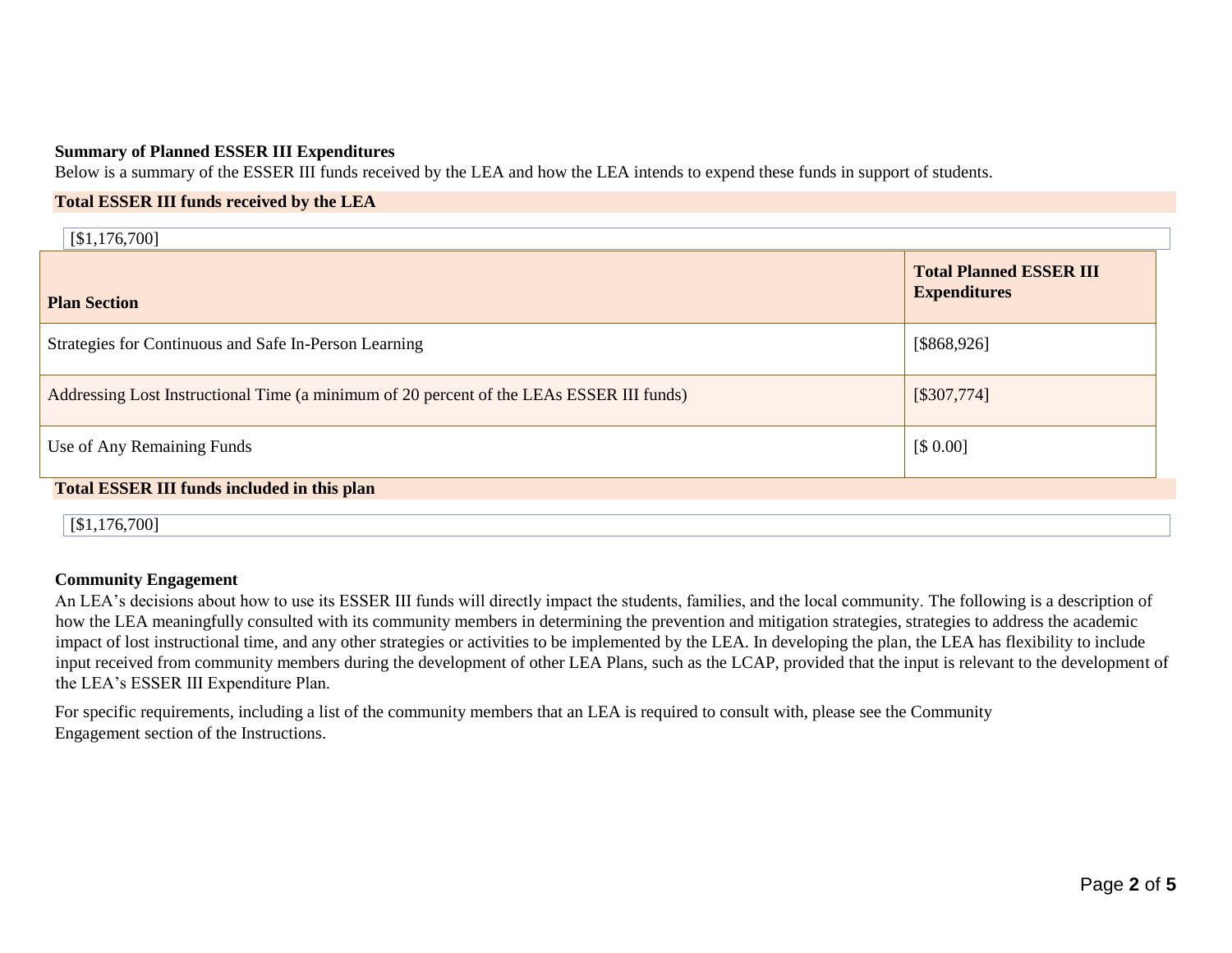#### **Summary of Planned ESSER III Expenditures**

Below is a summary of the ESSER III funds received by the LEA and how the LEA intends to expend these funds in support of students.

#### **Total ESSER III funds received by the LEA**

| [\$1,176,700]                                                                            |                                                       |
|------------------------------------------------------------------------------------------|-------------------------------------------------------|
| <b>Plan Section</b>                                                                      | <b>Total Planned ESSER III</b><br><b>Expenditures</b> |
| Strategies for Continuous and Safe In-Person Learning                                    | [\$868,926]                                           |
| Addressing Lost Instructional Time (a minimum of 20 percent of the LEAs ESSER III funds) | [\$307,774]                                           |
| Use of Any Remaining Funds                                                               | [\$0.00]                                              |
| <b>Total ESSER III funds included in this plan</b>                                       |                                                       |
| [\$1,176,700]                                                                            |                                                       |

#### **Community Engagement**

An LEA's decisions about how to use its ESSER III funds will directly impact the students, families, and the local community. The following is a description of how the LEA meaningfully consulted with its community members in determining the prevention and mitigation strategies, strategies to address the academic impact of lost instructional time, and any other strategies or activities to be implemented by the LEA. In developing the plan, the LEA has flexibility to include input received from community members during the development of other LEA Plans, such as the LCAP, provided that the input is relevant to the development of the LEA's ESSER III Expenditure Plan.

For specific requirements, including a list of the community members that an LEA is required to consult with, please see the Community Engagement section of the Instructions.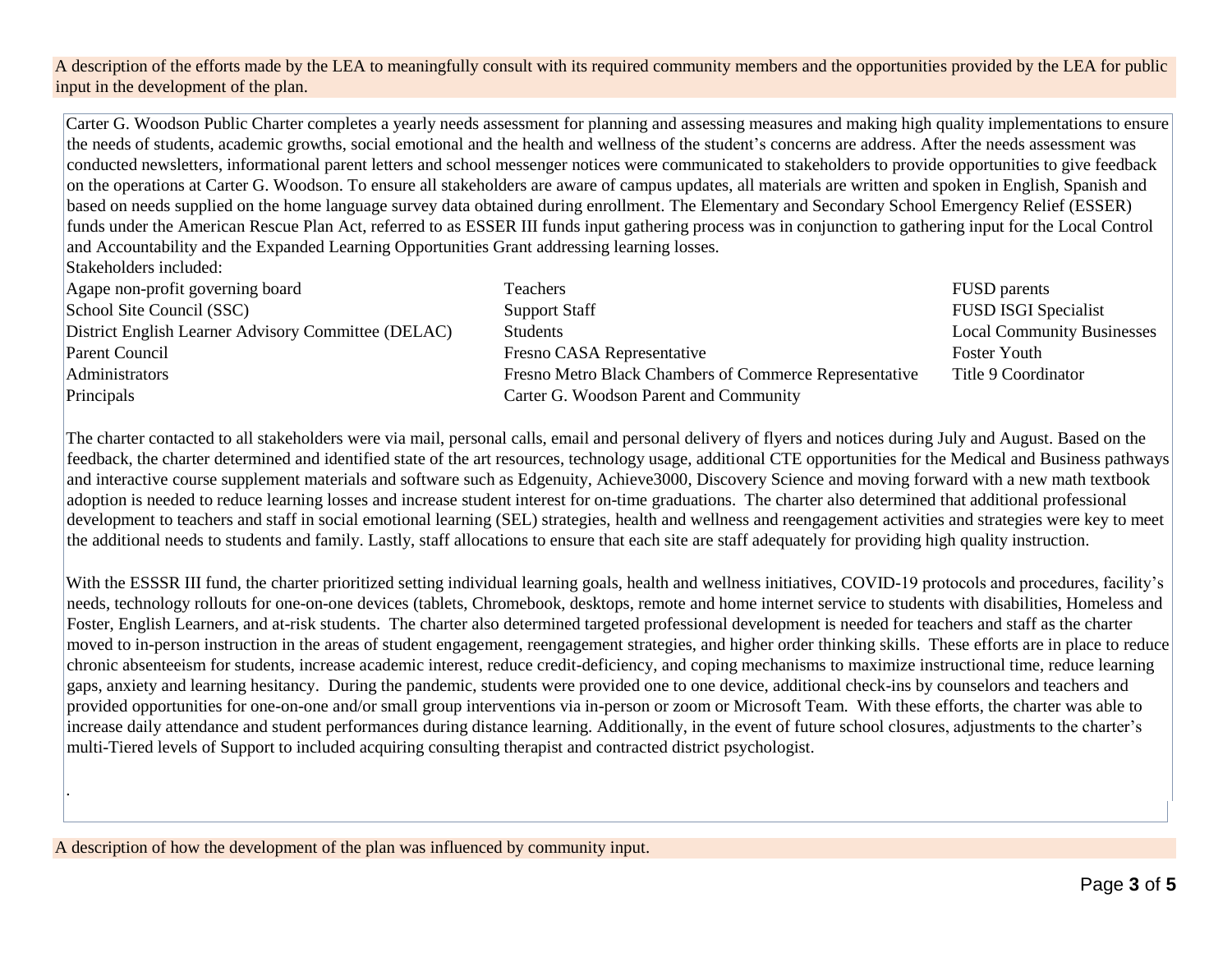A description of the efforts made by the LEA to meaningfully consult with its required community members and the opportunities provided by the LEA for public input in the development of the plan.

Carter G. Woodson Public Charter completes a yearly needs assessment for planning and assessing measures and making high quality implementations to ensure the needs of students, academic growths, social emotional and the health and wellness of the student's concerns are address. After the needs assessment was conducted newsletters, informational parent letters and school messenger notices were communicated to stakeholders to provide opportunities to give feedback on the operations at Carter G. Woodson. To ensure all stakeholders are aware of campus updates, all materials are written and spoken in English, Spanish and based on needs supplied on the home language survey data obtained during enrollment. The Elementary and Secondary School Emergency Relief (ESSER) funds under the American Rescue Plan Act, referred to as ESSER III funds input gathering process was in conjunction to gathering input for the Local Control and Accountability and the Expanded Learning Opportunities Grant addressing learning losses.

Stakeholders included:

.

| Agape non-profit governing board                    | Teachers                                               | <b>FUSD</b> parents               |
|-----------------------------------------------------|--------------------------------------------------------|-----------------------------------|
| School Site Council (SSC)                           | <b>Support Staff</b>                                   | <b>FUSD ISGI Specialist</b>       |
| District English Learner Advisory Committee (DELAC) | <b>Students</b>                                        | <b>Local Community Businesses</b> |
| Parent Council                                      | Fresno CASA Representative                             | <b>Foster Youth</b>               |
| Administrators                                      | Fresno Metro Black Chambers of Commerce Representative | Title 9 Coordinator               |
| Principals                                          | Carter G. Woodson Parent and Community                 |                                   |

The charter contacted to all stakeholders were via mail, personal calls, email and personal delivery of flyers and notices during July and August. Based on the feedback, the charter determined and identified state of the art resources, technology usage, additional CTE opportunities for the Medical and Business pathways and interactive course supplement materials and software such as Edgenuity, Achieve3000, Discovery Science and moving forward with a new math textbook adoption is needed to reduce learning losses and increase student interest for on-time graduations. The charter also determined that additional professional development to teachers and staff in social emotional learning (SEL) strategies, health and wellness and reengagement activities and strategies were key to meet the additional needs to students and family. Lastly, staff allocations to ensure that each site are staff adequately for providing high quality instruction.

With the ESSSR III fund, the charter prioritized setting individual learning goals, health and wellness initiatives, COVID-19 protocols and procedures, facility's needs, technology rollouts for one-on-one devices (tablets, Chromebook, desktops, remote and home internet service to students with disabilities, Homeless and Foster, English Learners, and at-risk students. The charter also determined targeted professional development is needed for teachers and staff as the charter moved to in-person instruction in the areas of student engagement, reengagement strategies, and higher order thinking skills. These efforts are in place to reduce chronic absenteeism for students, increase academic interest, reduce credit-deficiency, and coping mechanisms to maximize instructional time, reduce learning gaps, anxiety and learning hesitancy. During the pandemic, students were provided one to one device, additional check-ins by counselors and teachers and provided opportunities for one-on-one and/or small group interventions via in-person or zoom or Microsoft Team. With these efforts, the charter was able to increase daily attendance and student performances during distance learning. Additionally, in the event of future school closures, adjustments to the charter's multi-Tiered levels of Support to included acquiring consulting therapist and contracted district psychologist.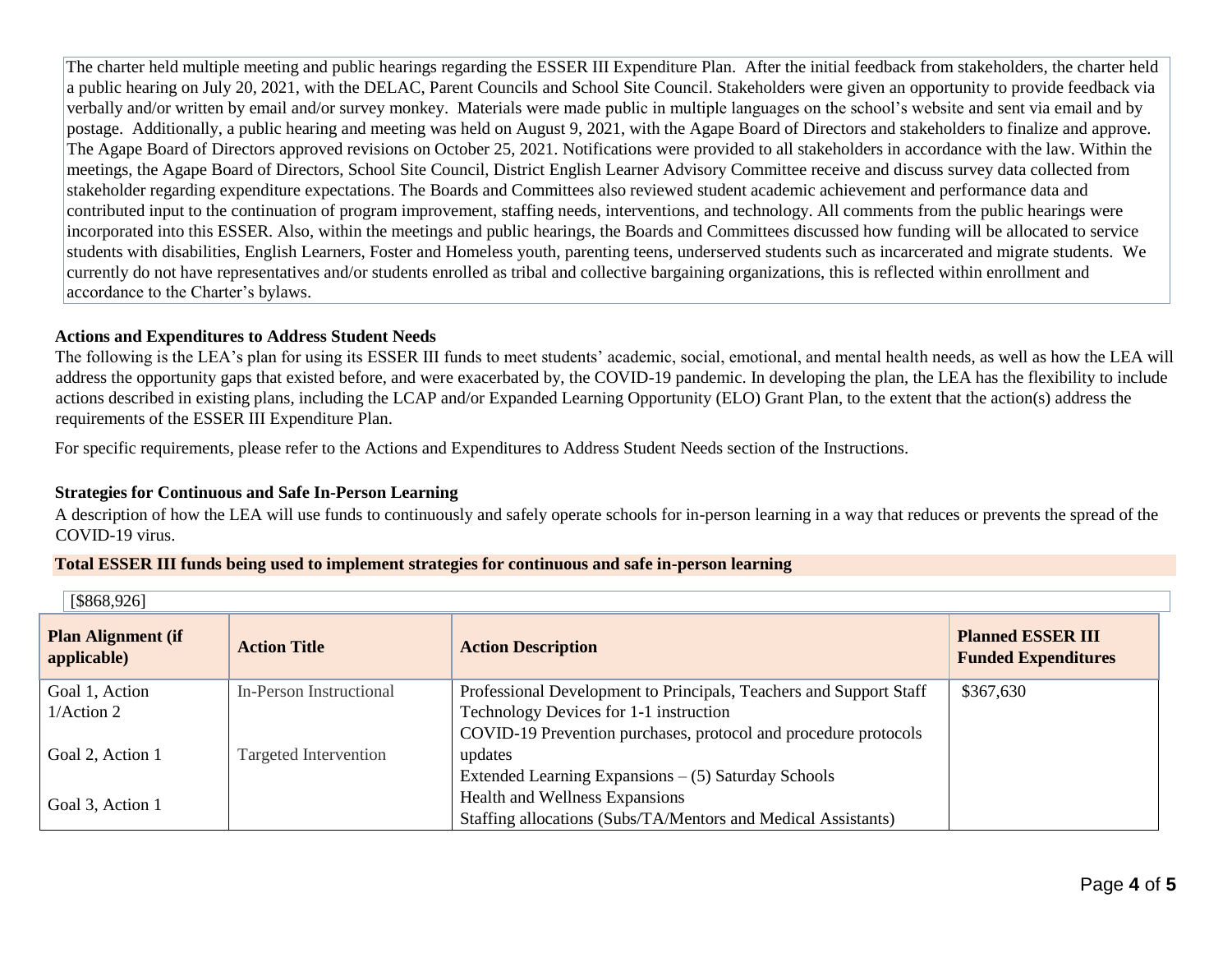The charter held multiple meeting and public hearings regarding the ESSER III Expenditure Plan. After the initial feedback from stakeholders, the charter held a public hearing on July 20, 2021, with the DELAC, Parent Councils and School Site Council. Stakeholders were given an opportunity to provide feedback via verbally and/or written by email and/or survey monkey. Materials were made public in multiple languages on the school's website and sent via email and by postage. Additionally, a public hearing and meeting was held on August 9, 2021, with the Agape Board of Directors and stakeholders to finalize and approve. The Agape Board of Directors approved revisions on October 25, 2021. Notifications were provided to all stakeholders in accordance with the law. Within the meetings, the Agape Board of Directors, School Site Council, District English Learner Advisory Committee receive and discuss survey data collected from stakeholder regarding expenditure expectations. The Boards and Committees also reviewed student academic achievement and performance data and contributed input to the continuation of program improvement, staffing needs, interventions, and technology. All comments from the public hearings were incorporated into this ESSER. Also, within the meetings and public hearings, the Boards and Committees discussed how funding will be allocated to service students with disabilities, English Learners, Foster and Homeless youth, parenting teens, underserved students such as incarcerated and migrate students. We currently do not have representatives and/or students enrolled as tribal and collective bargaining organizations, this is reflected within enrollment and accordance to the Charter's bylaws.

## **Actions and Expenditures to Address Student Needs**

The following is the LEA's plan for using its ESSER III funds to meet students' academic, social, emotional, and mental health needs, as well as how the LEA will address the opportunity gaps that existed before, and were exacerbated by, the COVID-19 pandemic. In developing the plan, the LEA has the flexibility to include actions described in existing plans, including the LCAP and/or Expanded Learning Opportunity (ELO) Grant Plan, to the extent that the action(s) address the requirements of the ESSER III Expenditure Plan.

For specific requirements, please refer to the Actions and Expenditures to Address Student Needs section of the Instructions.

# **Strategies for Continuous and Safe In-Person Learning**

A description of how the LEA will use funds to continuously and safely operate schools for in-person learning in a way that reduces or prevents the spread of the COVID-19 virus.

## **Total ESSER III funds being used to implement strategies for continuous and safe in-person learning**

| [\$868,926]                              |                         |                                                                    |                                                        |
|------------------------------------------|-------------------------|--------------------------------------------------------------------|--------------------------------------------------------|
| <b>Plan Alignment (if</b><br>applicable) | <b>Action Title</b>     | <b>Action Description</b>                                          | <b>Planned ESSER III</b><br><b>Funded Expenditures</b> |
| Goal 1, Action                           | In-Person Instructional | Professional Development to Principals, Teachers and Support Staff | \$367,630                                              |
| 1/Action 2                               |                         | Technology Devices for 1-1 instruction                             |                                                        |
|                                          |                         | COVID-19 Prevention purchases, protocol and procedure protocols    |                                                        |
| Goal 2, Action 1                         | Targeted Intervention   | updates                                                            |                                                        |
|                                          |                         | Extended Learning Expansions – (5) Saturday Schools                |                                                        |
| Goal 3, Action 1                         |                         | Health and Wellness Expansions                                     |                                                        |
|                                          |                         | Staffing allocations (Subs/TA/Mentors and Medical Assistants)      |                                                        |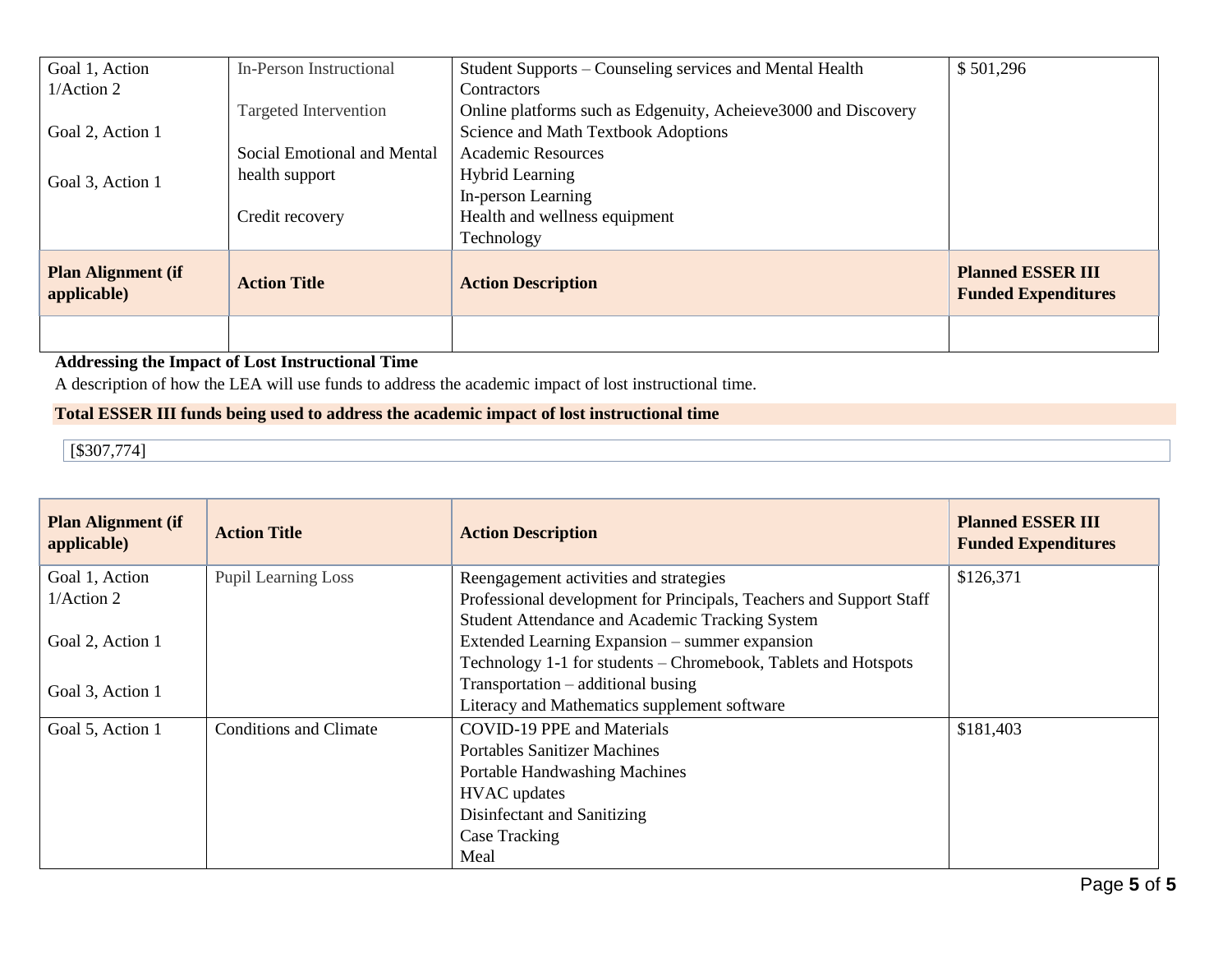| Goal 1, Action                           | In-Person Instructional     | Student Supports – Counseling services and Mental Health       | \$501,296                                              |
|------------------------------------------|-----------------------------|----------------------------------------------------------------|--------------------------------------------------------|
| 1/Action 2                               |                             | Contractors                                                    |                                                        |
|                                          | Targeted Intervention       | Online platforms such as Edgenuity, Acheieve3000 and Discovery |                                                        |
| Goal 2, Action 1                         |                             | Science and Math Textbook Adoptions                            |                                                        |
|                                          | Social Emotional and Mental | <b>Academic Resources</b>                                      |                                                        |
| Goal 3, Action 1                         | health support              | <b>Hybrid Learning</b>                                         |                                                        |
|                                          |                             | In-person Learning                                             |                                                        |
|                                          | Credit recovery             | Health and wellness equipment                                  |                                                        |
|                                          |                             | Technology                                                     |                                                        |
| <b>Plan Alignment (if</b><br>applicable) | <b>Action Title</b>         | <b>Action Description</b>                                      | <b>Planned ESSER III</b><br><b>Funded Expenditures</b> |
|                                          |                             |                                                                |                                                        |

# **Addressing the Impact of Lost Instructional Time**

A description of how the LEA will use funds to address the academic impact of lost instructional time.

# **Total ESSER III funds being used to address the academic impact of lost instructional time**

 $\sqrt{5307,774}$ 

| <b>Plan Alignment (if</b><br>applicable) | <b>Action Title</b>           | <b>Action Description</b>                                           | <b>Planned ESSER III</b><br><b>Funded Expenditures</b> |
|------------------------------------------|-------------------------------|---------------------------------------------------------------------|--------------------------------------------------------|
| Goal 1, Action                           | <b>Pupil Learning Loss</b>    | Reengagement activities and strategies                              | \$126,371                                              |
| 1/Action 2                               |                               | Professional development for Principals, Teachers and Support Staff |                                                        |
|                                          |                               | Student Attendance and Academic Tracking System                     |                                                        |
| Goal 2, Action 1                         |                               | Extended Learning Expansion – summer expansion                      |                                                        |
|                                          |                               | Technology 1-1 for students - Chromebook, Tablets and Hotspots      |                                                        |
| Goal 3, Action 1                         |                               | $Transportation - additional \, business$                           |                                                        |
|                                          |                               | Literacy and Mathematics supplement software                        |                                                        |
| Goal 5, Action 1                         | <b>Conditions and Climate</b> | <b>COVID-19 PPE and Materials</b>                                   | \$181,403                                              |
|                                          |                               | <b>Portables Sanitizer Machines</b>                                 |                                                        |
|                                          |                               | Portable Handwashing Machines                                       |                                                        |
|                                          |                               | <b>HVAC</b> updates                                                 |                                                        |
|                                          |                               | Disinfectant and Sanitizing                                         |                                                        |
|                                          |                               | Case Tracking                                                       |                                                        |
|                                          |                               | Meal                                                                |                                                        |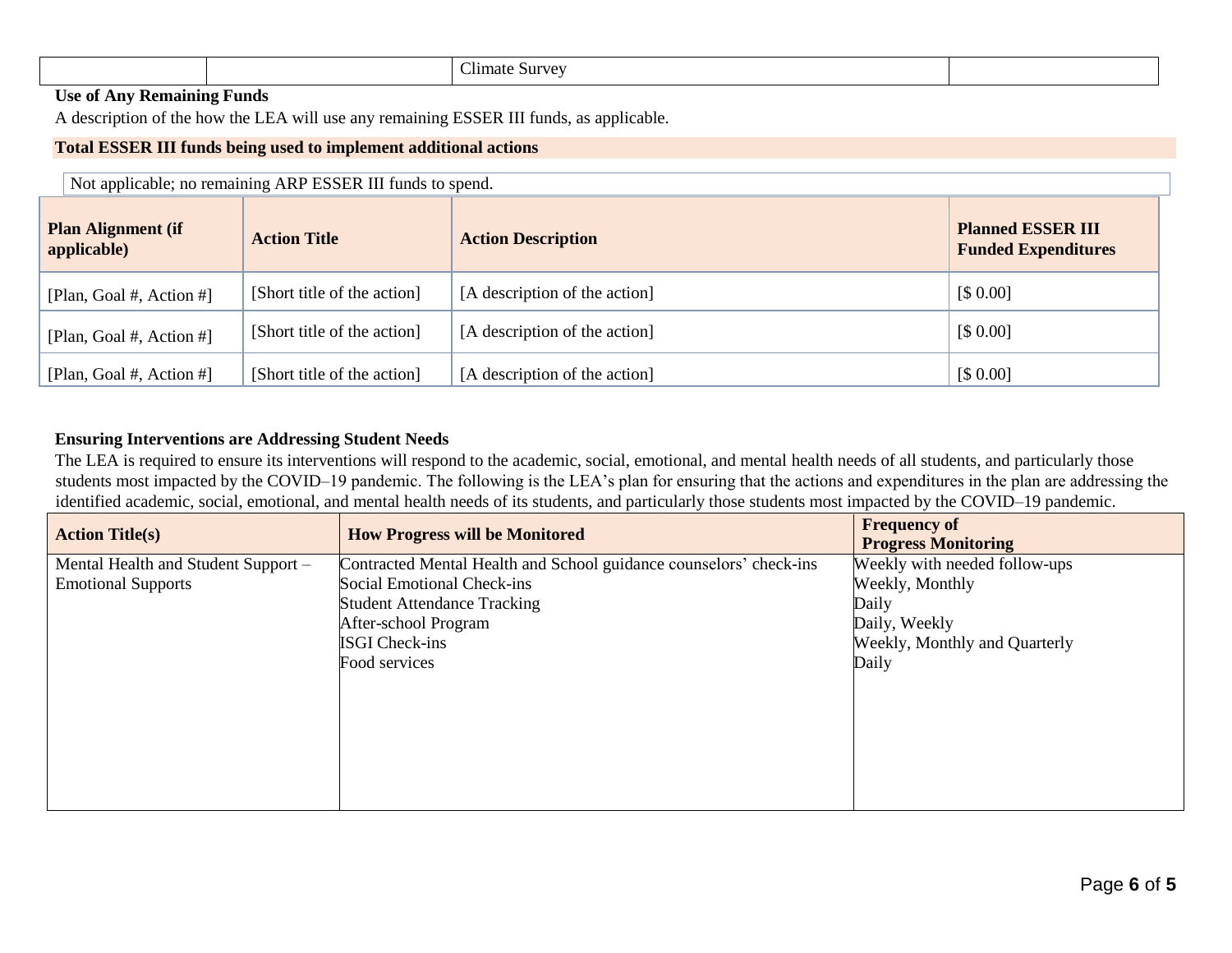|  | $\sim$ 11<br>.<br>11mate<br>$\sim$ Survey |  |
|--|-------------------------------------------|--|
|--|-------------------------------------------|--|

# **Use of Any Remaining Funds**

A description of the how the LEA will use any remaining ESSER III funds, as applicable.

## **Total ESSER III funds being used to implement additional actions**

| Not applicable; no remaining ARP ESSER III funds to spend. |                             |                               |                                                        |
|------------------------------------------------------------|-----------------------------|-------------------------------|--------------------------------------------------------|
| <b>Plan Alignment (if</b><br>applicable)                   | <b>Action Title</b>         | <b>Action Description</b>     | <b>Planned ESSER III</b><br><b>Funded Expenditures</b> |
| [Plan, Goal #, Action #]                                   | [Short title of the action] | [A description of the action] | [\$0.00]                                               |
| [Plan, Goal #, Action #]                                   | [Short title of the action] | [A description of the action] | [\$0.00]                                               |
| [Plan, Goal #, Action #]                                   | [Short title of the action] | [A description of the action] | [\$0.00]                                               |

## **Ensuring Interventions are Addressing Student Needs**

The LEA is required to ensure its interventions will respond to the academic, social, emotional, and mental health needs of all students, and particularly those students most impacted by the COVID–19 pandemic. The following is the LEA's plan for ensuring that the actions and expenditures in the plan are addressing the identified academic, social, emotional, and mental health needs of its students, and particularly those students most impacted by the COVID–19 pandemic.

| <b>Action Title(s)</b>              | <b>How Progress will be Monitored</b>                              | <b>Frequency of</b><br><b>Progress Monitoring</b> |
|-------------------------------------|--------------------------------------------------------------------|---------------------------------------------------|
| Mental Health and Student Support - | Contracted Mental Health and School guidance counselors' check-ins | Weekly with needed follow-ups                     |
| <b>Emotional Supports</b>           | Social Emotional Check-ins                                         | Weekly, Monthly                                   |
|                                     | <b>Student Attendance Tracking</b>                                 | Daily                                             |
|                                     | After-school Program                                               | Daily, Weekly                                     |
|                                     | <b>ISGI Check-ins</b>                                              | Weekly, Monthly and Quarterly                     |
|                                     | Food services                                                      | Daily                                             |
|                                     |                                                                    |                                                   |
|                                     |                                                                    |                                                   |
|                                     |                                                                    |                                                   |
|                                     |                                                                    |                                                   |
|                                     |                                                                    |                                                   |
|                                     |                                                                    |                                                   |
|                                     |                                                                    |                                                   |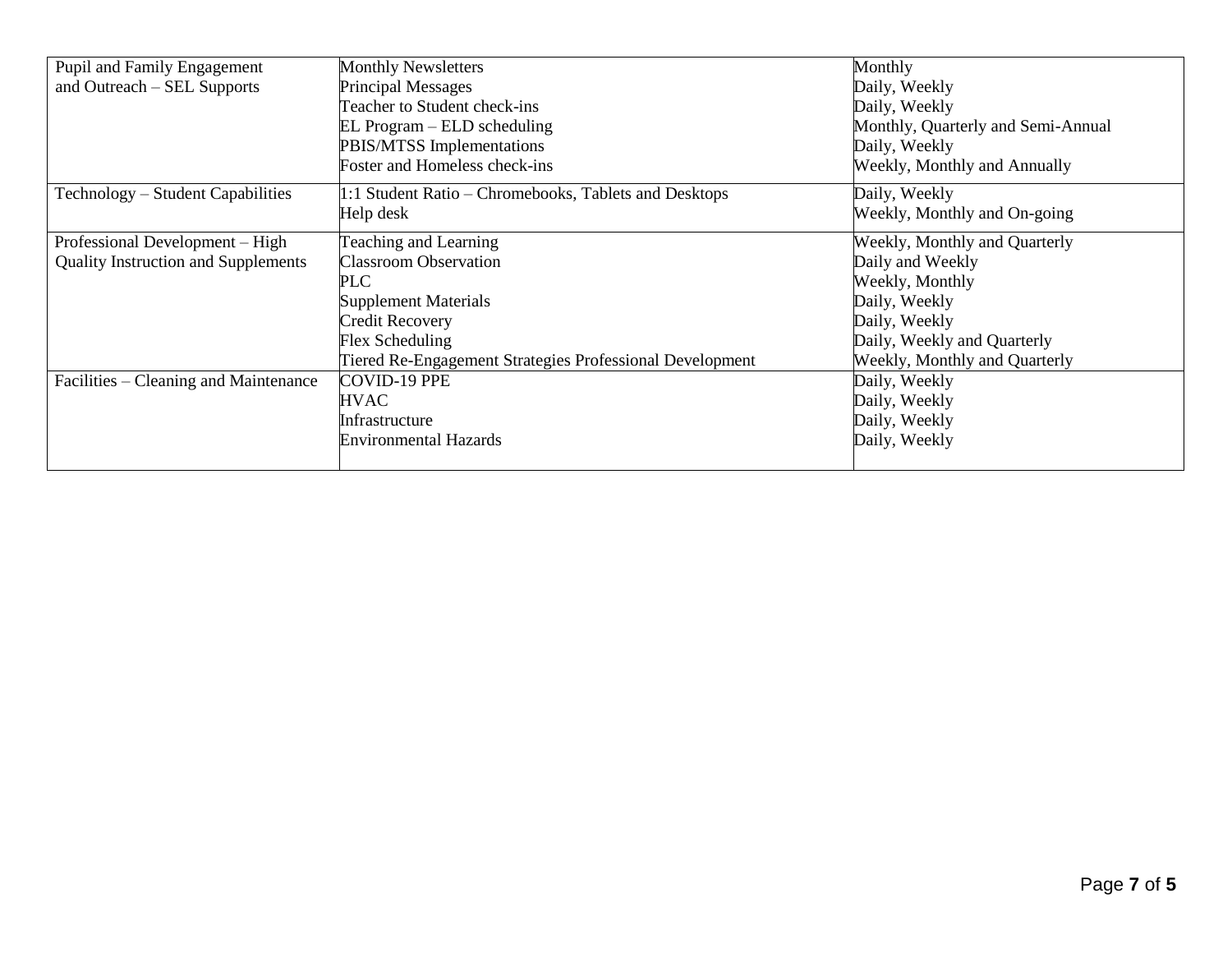| Pupil and Family Engagement                | <b>Monthly Newsletters</b>                               | Monthly                            |
|--------------------------------------------|----------------------------------------------------------|------------------------------------|
| and Outreach – SEL Supports                | <b>Principal Messages</b>                                | Daily, Weekly                      |
|                                            | Teacher to Student check-ins                             | Daily, Weekly                      |
|                                            | EL Program – ELD scheduling                              | Monthly, Quarterly and Semi-Annual |
|                                            | PBIS/MTSS Implementations                                | Daily, Weekly                      |
|                                            | Foster and Homeless check-ins                            | Weekly, Monthly and Annually       |
| Technology – Student Capabilities          | 1:1 Student Ratio – Chromebooks, Tablets and Desktops    | Daily, Weekly                      |
|                                            | Help desk                                                | Weekly, Monthly and On-going       |
| Professional Development - High            | Teaching and Learning                                    | Weekly, Monthly and Quarterly      |
| <b>Quality Instruction and Supplements</b> | <b>Classroom Observation</b>                             | Daily and Weekly                   |
|                                            | PLC                                                      | Weekly, Monthly                    |
|                                            | <b>Supplement Materials</b>                              | Daily, Weekly                      |
|                                            | Credit Recovery                                          | Daily, Weekly                      |
|                                            | Flex Scheduling                                          | Daily, Weekly and Quarterly        |
|                                            | Tiered Re-Engagement Strategies Professional Development | Weekly, Monthly and Quarterly      |
| Facilities – Cleaning and Maintenance      | COVID-19 PPE                                             | Daily, Weekly                      |
|                                            | <b>HVAC</b>                                              | Daily, Weekly                      |
|                                            | Infrastructure                                           | Daily, Weekly                      |
|                                            | Environmental Hazards                                    | Daily, Weekly                      |
|                                            |                                                          |                                    |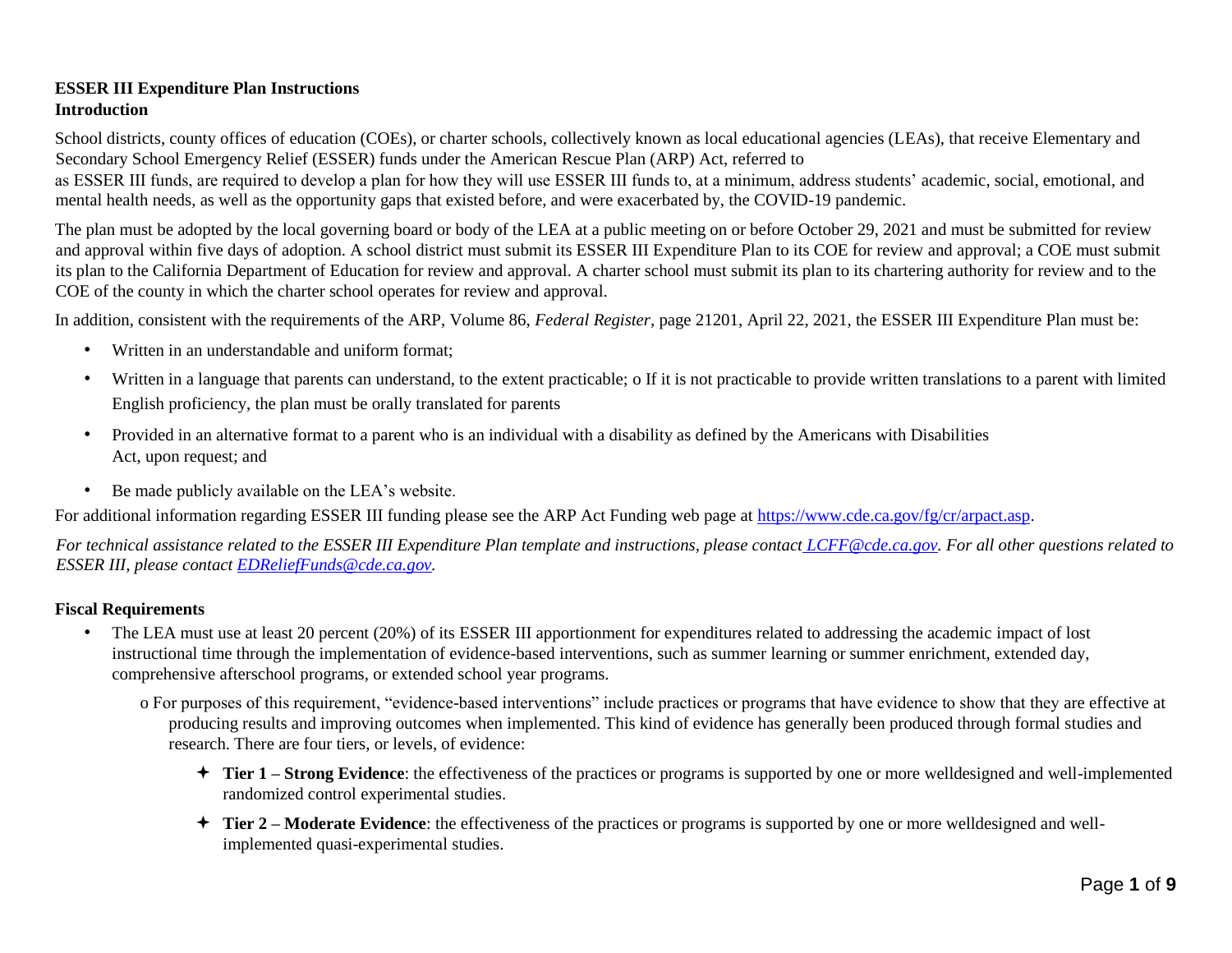# **ESSER III Expenditure Plan Instructions Introduction**

School districts, county offices of education (COEs), or charter schools, collectively known as local educational agencies (LEAs), that receive Elementary and Secondary School Emergency Relief (ESSER) funds under the American Rescue Plan (ARP) Act, referred to

as ESSER III funds, are required to develop a plan for how they will use ESSER III funds to, at a minimum, address students' academic, social, emotional, and mental health needs, as well as the opportunity gaps that existed before, and were exacerbated by, the COVID-19 pandemic.

The plan must be adopted by the local governing board or body of the LEA at a public meeting on or before October 29, 2021 and must be submitted for review and approval within five days of adoption. A school district must submit its ESSER III Expenditure Plan to its COE for review and approval; a COE must submit its plan to the California Department of Education for review and approval. A charter school must submit its plan to its chartering authority for review and to the COE of the county in which the charter school operates for review and approval.

In addition, consistent with the requirements of the ARP, Volume 86, *Federal Register*, page 21201, April 22, 2021, the ESSER III Expenditure Plan must be:

- Written in an understandable and uniform format;
- Written in a language that parents can understand, to the extent practicable; o If it is not practicable to provide written translations to a parent with limited English proficiency, the plan must be orally translated for parents
- Provided in an alternative format to a parent who is an individual with a disability as defined by the Americans with Disabilities Act, upon request; and
- Be made publicly available on the LEA's website.

For additional information regarding ESSER III funding please see the ARP Act Funding web page at [https://www.cde.ca.gov/fg/cr/arpact.asp.](https://www.cde.ca.gov/fg/cr/arpact.asp) 

*For technical assistance related to the ESSER III Expenditure Plan template and instructions, please contact LCFF@cde.ca.gov. For all other questions related to ESSER III, please contact EDReliefFunds@cde.ca.gov.* 

# **Fiscal Requirements**

• The LEA must use at least 20 percent (20%) of its ESSER III apportionment for expenditures related to addressing the academic impact of lost instructional time through the implementation of evidence-based interventions, such as summer learning or summer enrichment, extended day, comprehensive afterschool programs, or extended school year programs.

o For purposes of this requirement, "evidence-based interventions" include practices or programs that have evidence to show that they are effective at producing results and improving outcomes when implemented. This kind of evidence has generally been produced through formal studies and research. There are four tiers, or levels, of evidence:

- **Tier 1 – Strong Evidence**: the effectiveness of the practices or programs is supported by one or more welldesigned and well-implemented randomized control experimental studies.
- $\div$  **Tier 2 Moderate Evidence**: the effectiveness of the practices or programs is supported by one or more welldesigned and wellimplemented quasi-experimental studies.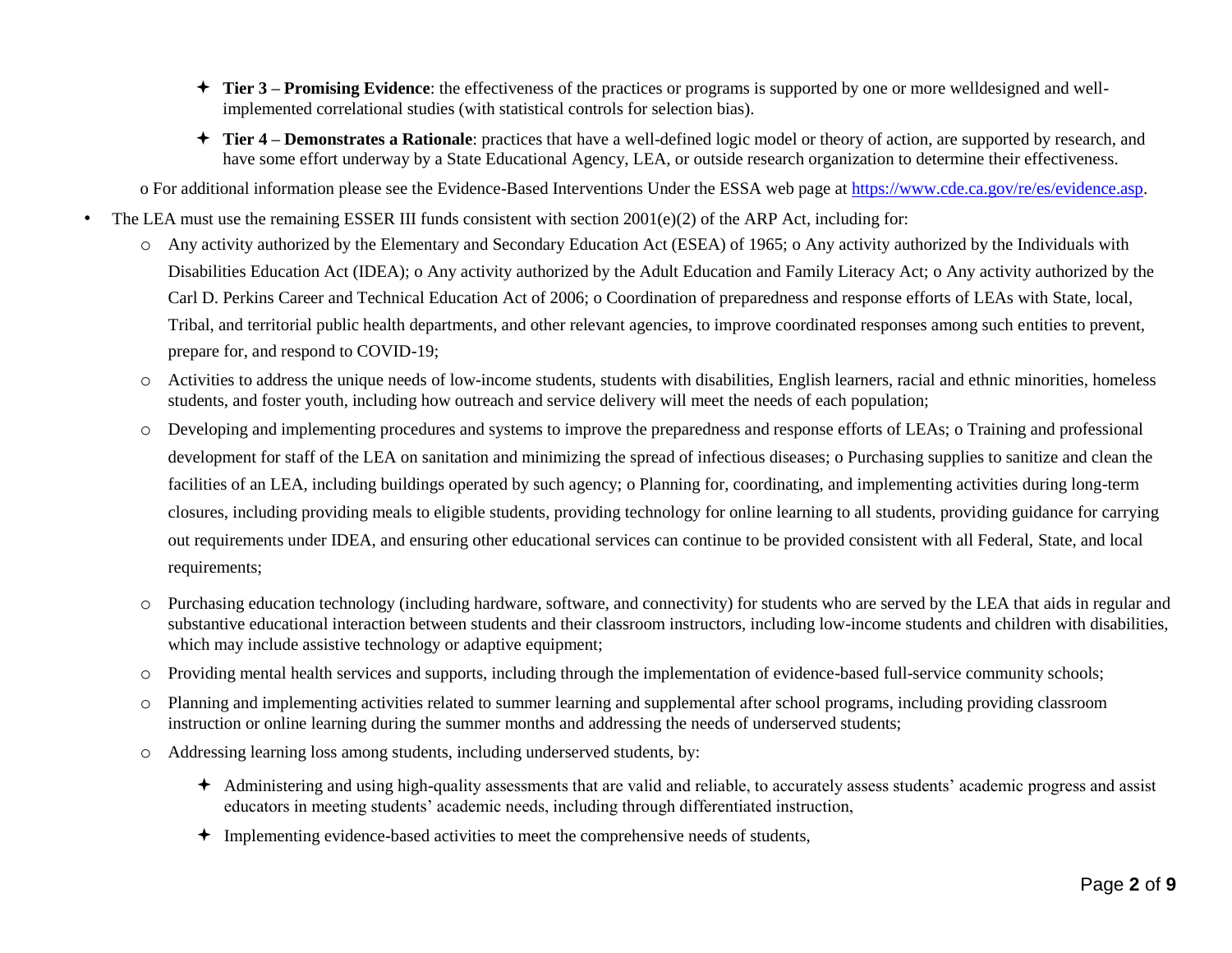- **Tier 3 – Promising Evidence**: the effectiveness of the practices or programs is supported by one or more welldesigned and wellimplemented correlational studies (with statistical controls for selection bias).
- **Tier 4 – Demonstrates a Rationale**: practices that have a well-defined logic model or theory of action, are supported by research, and have some effort underway by a State Educational Agency, LEA, or outside research organization to determine their effectiveness.

o For additional information please see the Evidence-Based Interventions Under the ESSA web page at [https://www.cde.ca.gov/re/es/evidence.asp.](https://www.cde.ca.gov/re/es/evidence.asp) 

- The LEA must use the remaining ESSER III funds consistent with section  $2001(e)(2)$  of the ARP Act, including for:
	- o Any activity authorized by the Elementary and Secondary Education Act (ESEA) of 1965; o Any activity authorized by the Individuals with Disabilities Education Act (IDEA); o Any activity authorized by the Adult Education and Family Literacy Act; o Any activity authorized by the Carl D. Perkins Career and Technical Education Act of 2006; o Coordination of preparedness and response efforts of LEAs with State, local, Tribal, and territorial public health departments, and other relevant agencies, to improve coordinated responses among such entities to prevent, prepare for, and respond to COVID-19;
	- o Activities to address the unique needs of low-income students, students with disabilities, English learners, racial and ethnic minorities, homeless students, and foster youth, including how outreach and service delivery will meet the needs of each population;
	- o Developing and implementing procedures and systems to improve the preparedness and response efforts of LEAs; o Training and professional development for staff of the LEA on sanitation and minimizing the spread of infectious diseases; o Purchasing supplies to sanitize and clean the facilities of an LEA, including buildings operated by such agency; o Planning for, coordinating, and implementing activities during long-term closures, including providing meals to eligible students, providing technology for online learning to all students, providing guidance for carrying out requirements under IDEA, and ensuring other educational services can continue to be provided consistent with all Federal, State, and local requirements;
	- o Purchasing education technology (including hardware, software, and connectivity) for students who are served by the LEA that aids in regular and substantive educational interaction between students and their classroom instructors, including low-income students and children with disabilities, which may include assistive technology or adaptive equipment;
	- o Providing mental health services and supports, including through the implementation of evidence-based full-service community schools;
	- o Planning and implementing activities related to summer learning and supplemental after school programs, including providing classroom instruction or online learning during the summer months and addressing the needs of underserved students;
	- o Addressing learning loss among students, including underserved students, by:
		- Administering and using high-quality assessments that are valid and reliable, to accurately assess students' academic progress and assist educators in meeting students' academic needs, including through differentiated instruction,
		- $\triangleq$  Implementing evidence-based activities to meet the comprehensive needs of students,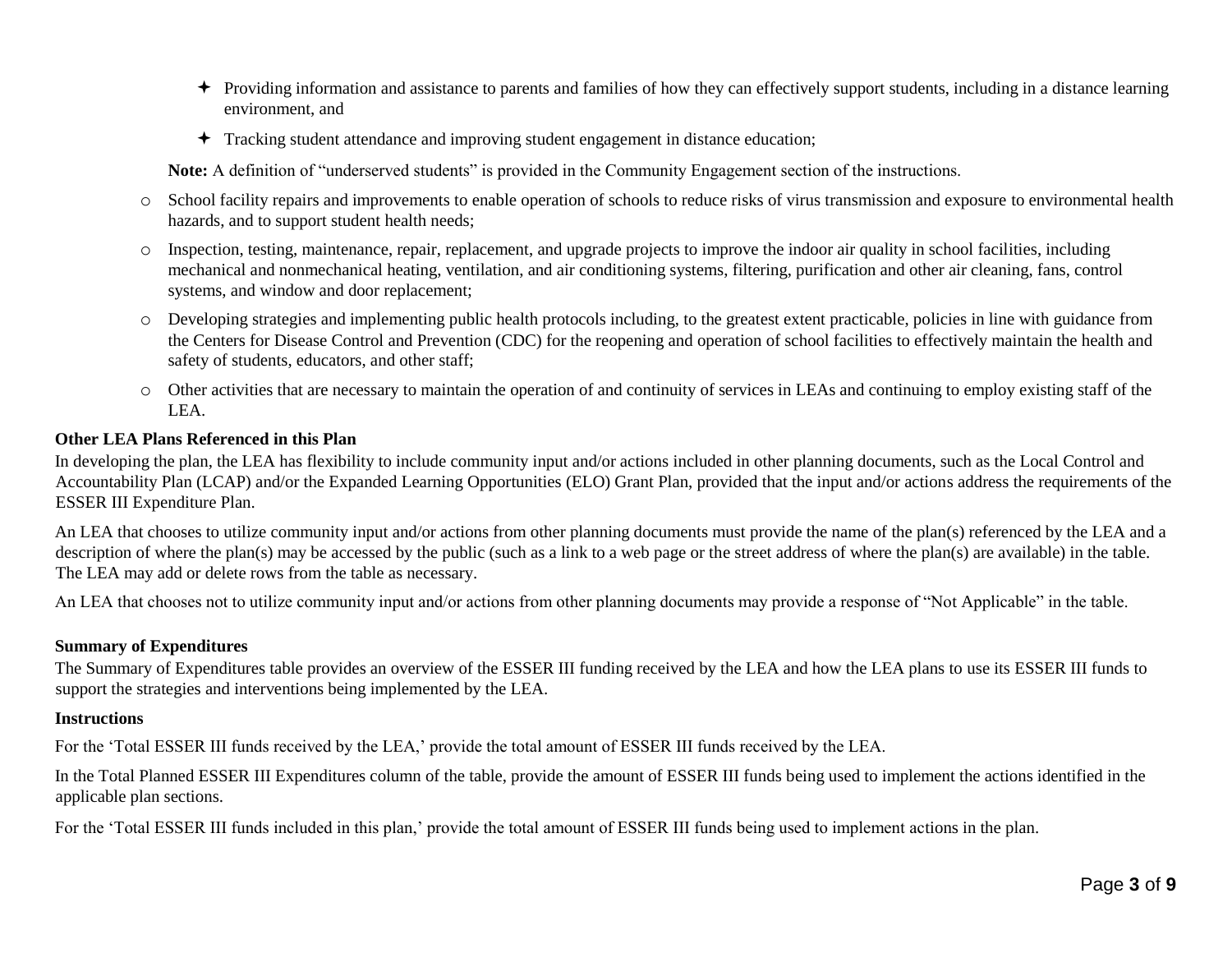- Providing information and assistance to parents and families of how they can effectively support students, including in a distance learning environment, and
- Tracking student attendance and improving student engagement in distance education;

**Note:** A definition of "underserved students" is provided in the Community Engagement section of the instructions.

- o School facility repairs and improvements to enable operation of schools to reduce risks of virus transmission and exposure to environmental health hazards, and to support student health needs;
- o Inspection, testing, maintenance, repair, replacement, and upgrade projects to improve the indoor air quality in school facilities, including mechanical and nonmechanical heating, ventilation, and air conditioning systems, filtering, purification and other air cleaning, fans, control systems, and window and door replacement;
- o Developing strategies and implementing public health protocols including, to the greatest extent practicable, policies in line with guidance from the Centers for Disease Control and Prevention (CDC) for the reopening and operation of school facilities to effectively maintain the health and safety of students, educators, and other staff;
- o Other activities that are necessary to maintain the operation of and continuity of services in LEAs and continuing to employ existing staff of the LEA.

## **Other LEA Plans Referenced in this Plan**

In developing the plan, the LEA has flexibility to include community input and/or actions included in other planning documents, such as the Local Control and Accountability Plan (LCAP) and/or the Expanded Learning Opportunities (ELO) Grant Plan, provided that the input and/or actions address the requirements of the ESSER III Expenditure Plan.

An LEA that chooses to utilize community input and/or actions from other planning documents must provide the name of the plan(s) referenced by the LEA and a description of where the plan(s) may be accessed by the public (such as a link to a web page or the street address of where the plan(s) are available) in the table. The LEA may add or delete rows from the table as necessary.

An LEA that chooses not to utilize community input and/or actions from other planning documents may provide a response of "Not Applicable" in the table.

## **Summary of Expenditures**

The Summary of Expenditures table provides an overview of the ESSER III funding received by the LEA and how the LEA plans to use its ESSER III funds to support the strategies and interventions being implemented by the LEA.

## **Instructions**

For the 'Total ESSER III funds received by the LEA,' provide the total amount of ESSER III funds received by the LEA.

In the Total Planned ESSER III Expenditures column of the table, provide the amount of ESSER III funds being used to implement the actions identified in the applicable plan sections.

For the 'Total ESSER III funds included in this plan,' provide the total amount of ESSER III funds being used to implement actions in the plan.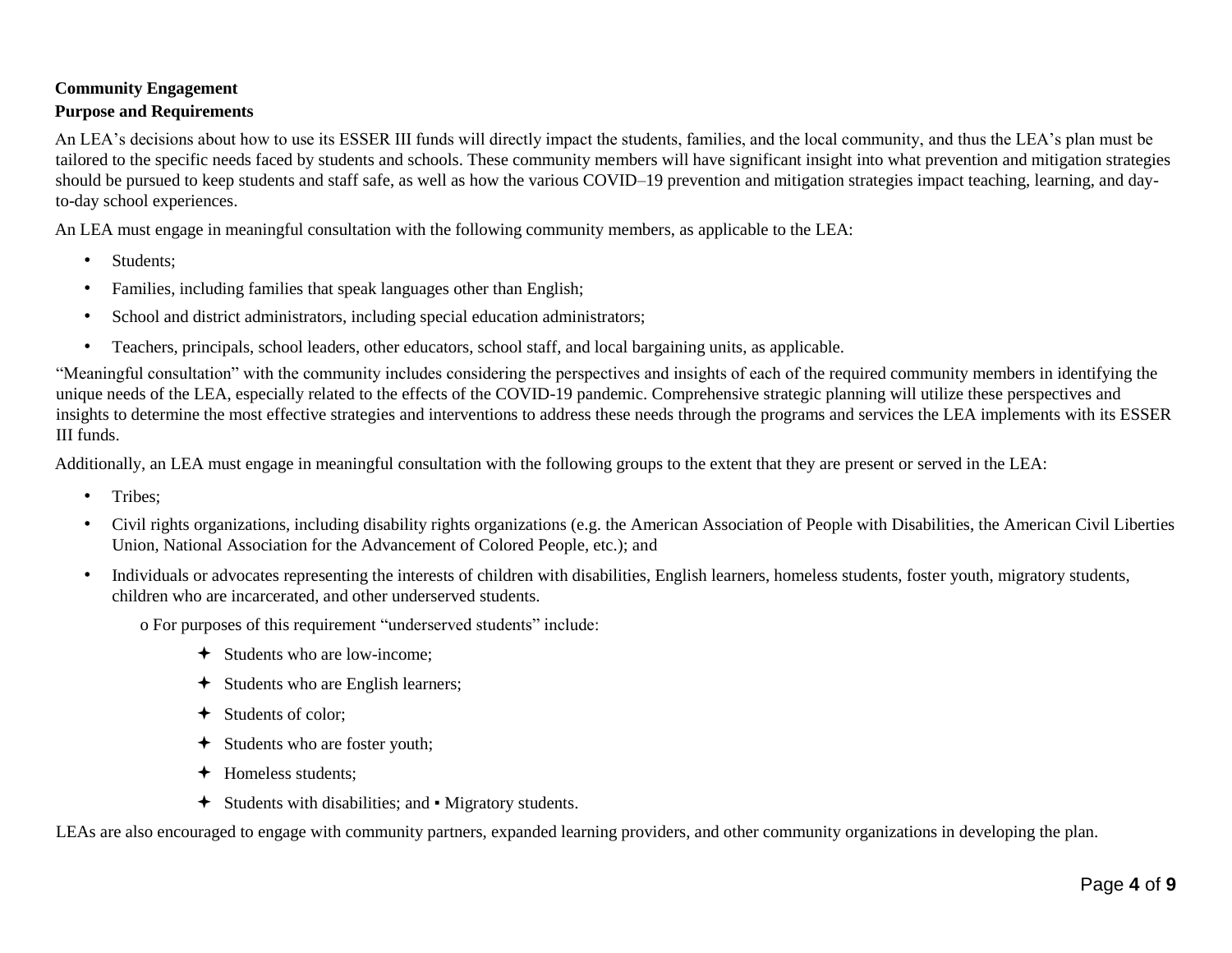# **Community Engagement Purpose and Requirements**

An LEA's decisions about how to use its ESSER III funds will directly impact the students, families, and the local community, and thus the LEA's plan must be tailored to the specific needs faced by students and schools. These community members will have significant insight into what prevention and mitigation strategies should be pursued to keep students and staff safe, as well as how the various COVID–19 prevention and mitigation strategies impact teaching, learning, and dayto-day school experiences.

An LEA must engage in meaningful consultation with the following community members, as applicable to the LEA:

- Students;
- Families, including families that speak languages other than English;
- School and district administrators, including special education administrators;
- Teachers, principals, school leaders, other educators, school staff, and local bargaining units, as applicable.

"Meaningful consultation" with the community includes considering the perspectives and insights of each of the required community members in identifying the unique needs of the LEA, especially related to the effects of the COVID-19 pandemic. Comprehensive strategic planning will utilize these perspectives and insights to determine the most effective strategies and interventions to address these needs through the programs and services the LEA implements with its ESSER III funds.

Additionally, an LEA must engage in meaningful consultation with the following groups to the extent that they are present or served in the LEA:

- Tribes:
- Civil rights organizations, including disability rights organizations (e.g. the American Association of People with Disabilities, the American Civil Liberties Union, National Association for the Advancement of Colored People, etc.); and
- Individuals or advocates representing the interests of children with disabilities, English learners, homeless students, foster youth, migratory students, children who are incarcerated, and other underserved students.

o For purposes of this requirement "underserved students" include:

- Students who are low-income;
- Students who are English learners;
- Students of color;
- $\div$  Students who are foster youth;
- Homeless students;
- Students with disabilities; and Migratory students.

LEAs are also encouraged to engage with community partners, expanded learning providers, and other community organizations in developing the plan.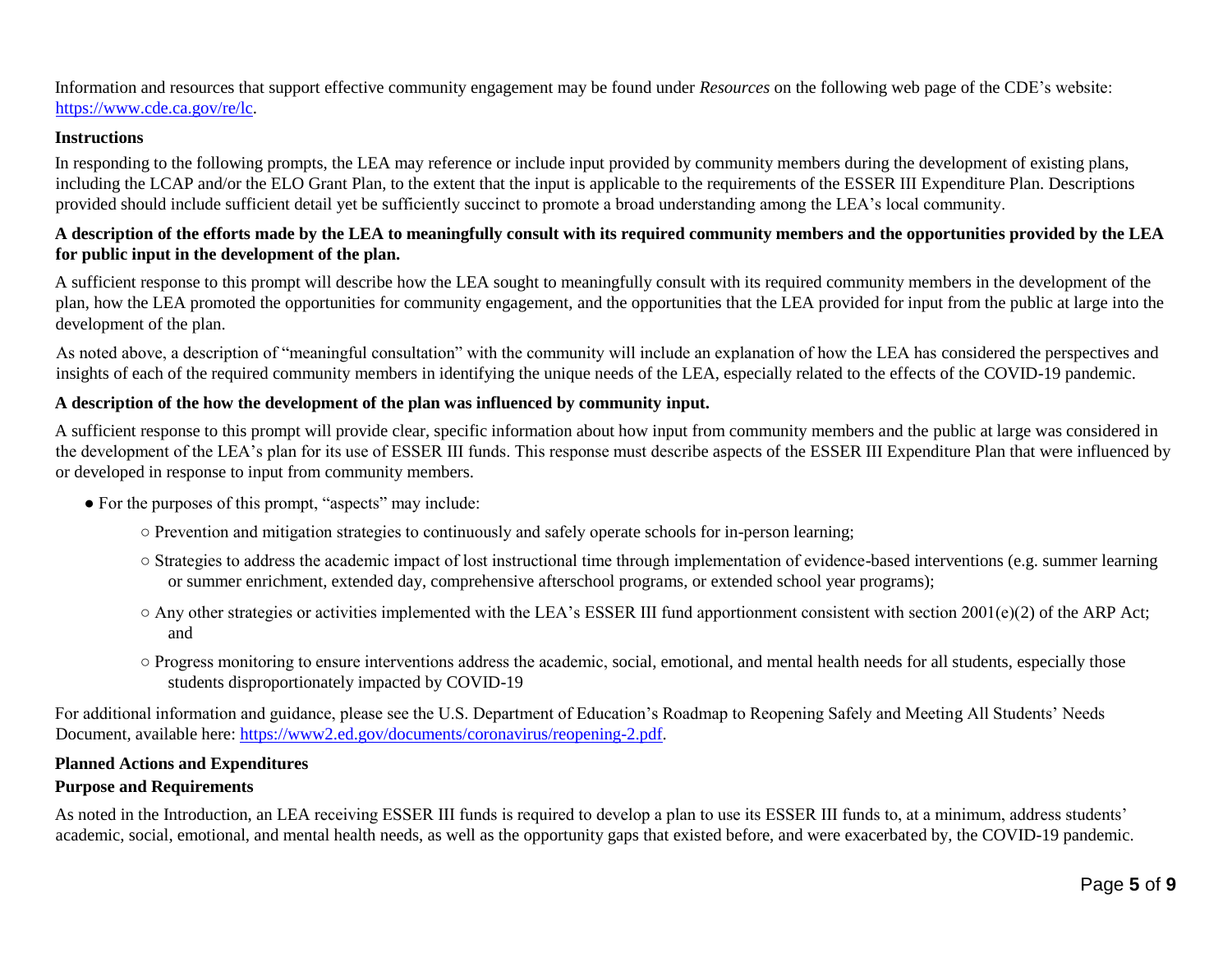Information and resources that support effective community engagement may be found under *Resources* on the following web page of the CDE's website: [https://www.cde.ca.gov/re/lc.](https://www.cde.ca.gov/re/lc)

#### **Instructions**

In responding to the following prompts, the LEA may reference or include input provided by community members during the development of existing plans, including the LCAP and/or the ELO Grant Plan, to the extent that the input is applicable to the requirements of the ESSER III Expenditure Plan. Descriptions provided should include sufficient detail yet be sufficiently succinct to promote a broad understanding among the LEA's local community.

## **A description of the efforts made by the LEA to meaningfully consult with its required community members and the opportunities provided by the LEA for public input in the development of the plan.**

A sufficient response to this prompt will describe how the LEA sought to meaningfully consult with its required community members in the development of the plan, how the LEA promoted the opportunities for community engagement, and the opportunities that the LEA provided for input from the public at large into the development of the plan.

As noted above, a description of "meaningful consultation" with the community will include an explanation of how the LEA has considered the perspectives and insights of each of the required community members in identifying the unique needs of the LEA, especially related to the effects of the COVID-19 pandemic.

## **A description of the how the development of the plan was influenced by community input.**

A sufficient response to this prompt will provide clear, specific information about how input from community members and the public at large was considered in the development of the LEA's plan for its use of ESSER III funds. This response must describe aspects of the ESSER III Expenditure Plan that were influenced by or developed in response to input from community members.

- For the purposes of this prompt, "aspects" may include:
	- Prevention and mitigation strategies to continuously and safely operate schools for in-person learning;
	- Strategies to address the academic impact of lost instructional time through implementation of evidence-based interventions (e.g. summer learning or summer enrichment, extended day, comprehensive afterschool programs, or extended school year programs);
	- $\circ$  Any other strategies or activities implemented with the LEA's ESSER III fund apportionment consistent with section 2001(e)(2) of the ARP Act; and
	- Progress monitoring to ensure interventions address the academic, social, emotional, and mental health needs for all students, especially those students disproportionately impacted by COVID-19

For additional information and guidance, please see the U.S. Department of Education's Roadmap to Reopening Safely and Meeting All Students' Needs Document, available here: [https://www2.ed.gov/documents/coronavirus/reopening-2.pdf.](https://www2.ed.gov/documents/coronavirus/reopening-2.pdf) 

## **Planned Actions and Expenditures**

#### **Purpose and Requirements**

As noted in the Introduction, an LEA receiving ESSER III funds is required to develop a plan to use its ESSER III funds to, at a minimum, address students' academic, social, emotional, and mental health needs, as well as the opportunity gaps that existed before, and were exacerbated by, the COVID-19 pandemic.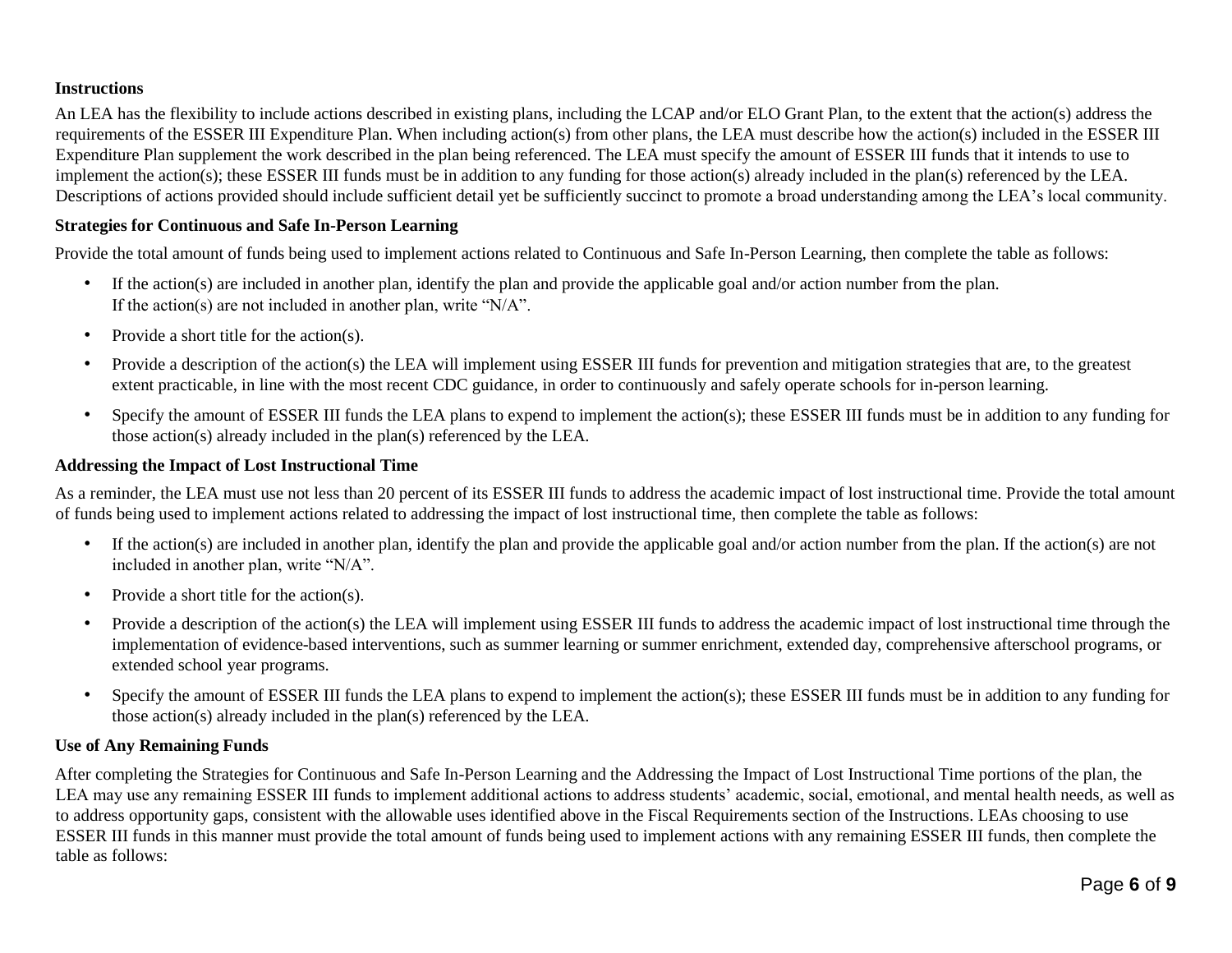## **Instructions**

An LEA has the flexibility to include actions described in existing plans, including the LCAP and/or ELO Grant Plan, to the extent that the action(s) address the requirements of the ESSER III Expenditure Plan. When including action(s) from other plans, the LEA must describe how the action(s) included in the ESSER III Expenditure Plan supplement the work described in the plan being referenced. The LEA must specify the amount of ESSER III funds that it intends to use to implement the action(s); these ESSER III funds must be in addition to any funding for those action(s) already included in the plan(s) referenced by the LEA. Descriptions of actions provided should include sufficient detail yet be sufficiently succinct to promote a broad understanding among the LEA's local community.

#### **Strategies for Continuous and Safe In-Person Learning**

Provide the total amount of funds being used to implement actions related to Continuous and Safe In-Person Learning, then complete the table as follows:

- If the action(s) are included in another plan, identify the plan and provide the applicable goal and/or action number from the plan. If the action(s) are not included in another plan, write "N/A".
- Provide a short title for the action(s).
- Provide a description of the action(s) the LEA will implement using ESSER III funds for prevention and mitigation strategies that are, to the greatest extent practicable, in line with the most recent CDC guidance, in order to continuously and safely operate schools for in-person learning.
- Specify the amount of ESSER III funds the LEA plans to expend to implement the action(s); these ESSER III funds must be in addition to any funding for those action(s) already included in the plan(s) referenced by the LEA.

#### **Addressing the Impact of Lost Instructional Time**

As a reminder, the LEA must use not less than 20 percent of its ESSER III funds to address the academic impact of lost instructional time. Provide the total amount of funds being used to implement actions related to addressing the impact of lost instructional time, then complete the table as follows:

- If the action(s) are included in another plan, identify the plan and provide the applicable goal and/or action number from the plan. If the action(s) are not included in another plan, write "N/A".
- Provide a short title for the action(s).
- Provide a description of the action(s) the LEA will implement using ESSER III funds to address the academic impact of lost instructional time through the implementation of evidence-based interventions, such as summer learning or summer enrichment, extended day, comprehensive afterschool programs, or extended school year programs.
- Specify the amount of ESSER III funds the LEA plans to expend to implement the action(s); these ESSER III funds must be in addition to any funding for those action(s) already included in the plan(s) referenced by the LEA.

#### **Use of Any Remaining Funds**

After completing the Strategies for Continuous and Safe In-Person Learning and the Addressing the Impact of Lost Instructional Time portions of the plan, the LEA may use any remaining ESSER III funds to implement additional actions to address students' academic, social, emotional, and mental health needs, as well as to address opportunity gaps, consistent with the allowable uses identified above in the Fiscal Requirements section of the Instructions. LEAs choosing to use ESSER III funds in this manner must provide the total amount of funds being used to implement actions with any remaining ESSER III funds, then complete the table as follows: